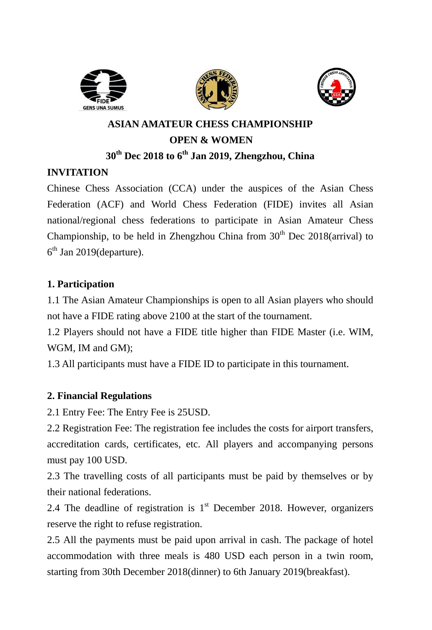





# **ASIAN AMATEUR CHESS CHAMPIONSHIP OPEN & WOMEN 30th Dec 2018 to 6 th Jan 2019, Zhengzhou, China**

### **INVITATION**

Chinese Chess Association (CCA) under the auspices of the Asian Chess Federation (ACF) and World Chess Federation (FIDE) invites all Asian national/regional chess federations to participate in Asian Amateur Chess Championship, to be held in Zhengzhou China from  $30<sup>th</sup>$  Dec 2018(arrival) to  $6<sup>th</sup>$  Jan 2019(departure).

### **1. Participation**

1.1 The Asian Amateur Championships is open to all Asian players who should not have a FIDE rating above 2100 at the start of the tournament.

1.2 Players should not have a FIDE title higher than FIDE Master (i.e. WIM, WGM, IM and GM);

1.3 All participants must have a FIDE ID to participate in this tournament.

### **2. Financial Regulations**

2.1 Entry Fee: The Entry Fee is 25USD.

2.2 Registration Fee: The registration fee includes the costs for airport transfers, accreditation cards, certificates, etc. All players and accompanying persons must pay 100 USD.

2.3 The travelling costs of all participants must be paid by themselves or by their national federations.

2.4 The deadline of registration is  $1<sup>st</sup>$  December 2018. However, organizers reserve the right to refuse registration.

2.5 All the payments must be paid upon arrival in cash. The package of hotel accommodation with three meals is 480 USD each person in a twin room, starting from 30th December 2018(dinner) to 6th January 2019(breakfast).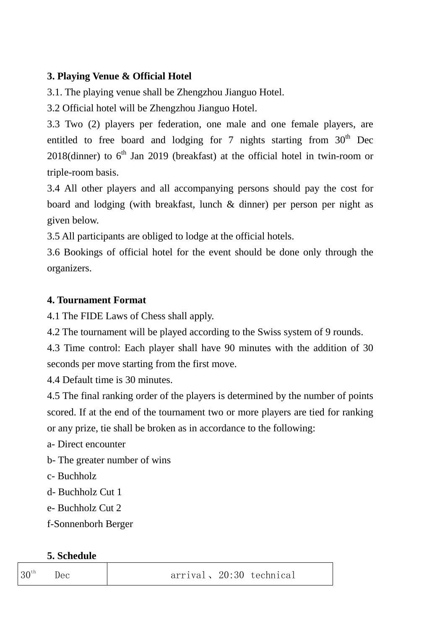### **3. Playing Venue & Official Hotel**

3.1. The playing venue shall be Zhengzhou Jianguo Hotel.

3.2 Official hotel will be Zhengzhou Jianguo Hotel.

3.3 Two (2) players per federation, one male and one female players, are entitled to free board and lodging for 7 nights starting from  $30<sup>th</sup>$  Dec 2018(dinner) to  $6<sup>th</sup>$  Jan 2019 (breakfast) at the official hotel in twin-room or triple-room basis.

3.4 All other players and all accompanying persons should pay the cost for board and lodging (with breakfast, lunch & dinner) per person per night as given below.

3.5 All participants are obliged to lodge at the official hotels.

3.6 Bookings of official hotel for the event should be done only through the organizers.

# **4. Tournament Format**

4.1 The FIDE Laws of Chess shall apply.

4.2 The tournament will be played according to the Swiss system of 9 rounds.

4.3 Time control: Each player shall have 90 minutes with the addition of 30 seconds per move starting from the first move.

4.4 Default time is 30 minutes.

4.5 The final ranking order of the players is determined by the number of points scored. If at the end of the tournament two or more players are tied for ranking or any prize, tie shall be broken as in accordance to the following:

a- Direct encounter

b- The greater number of wins

c- Buchholz

d- Buchholz Cut 1

e- Buchholz Cut 2

f-Sonnenborh Berger

# **5. Schedule**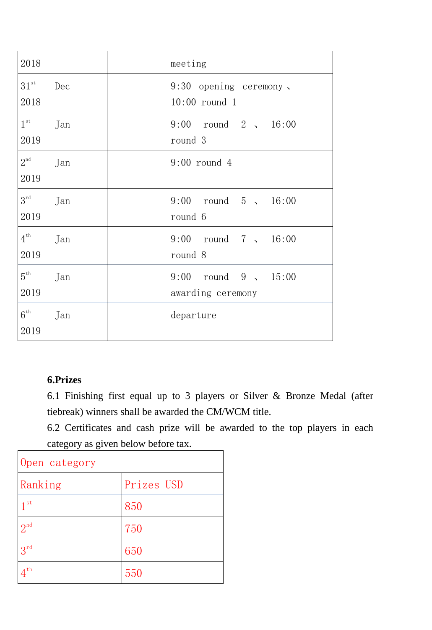| 2018                    |     | meeting                                            |
|-------------------------|-----|----------------------------------------------------|
| $31^{st}$<br>2018       | Dec | $9:30$ opening ceremony,<br>$10:00$ round 1        |
| $1^{\rm st}$<br>2019    | Jan | $9:00$ round $2$ 16:00<br>round 3                  |
| $2^{\text{nd}}$<br>2019 | Jan | $9:00$ round 4                                     |
| $3^{\text{rd}}$<br>2019 | Jan | $9:00$ round $5$ , $16:00$<br>round 6              |
| $4^{\text{th}}$<br>2019 | Jan | 9:00 round 7, 16:00<br>round 8                     |
| $5^{\text{th}}$<br>2019 | Jan | $9:00$ round $9 \sqrt{15:00}$<br>awarding ceremony |
| $6^{\rm th}$<br>2019    | Jan | departure                                          |

#### **6.Prizes**

6.1 Finishing first equal up to 3 players or Silver & Bronze Medal (after tiebreak) winners shall be awarded the CM/WCM title.

6.2 Certificates and cash prize will be awarded to the top players in each category as given below before tax.

| Open category   |            |  |  |  |
|-----------------|------------|--|--|--|
| Ranking         | Prizes USD |  |  |  |
| 1 <sup>st</sup> | 850        |  |  |  |
| 2 <sup>nd</sup> | 750        |  |  |  |
| $3^{rd}$        | 650        |  |  |  |
| 4 th            | 550        |  |  |  |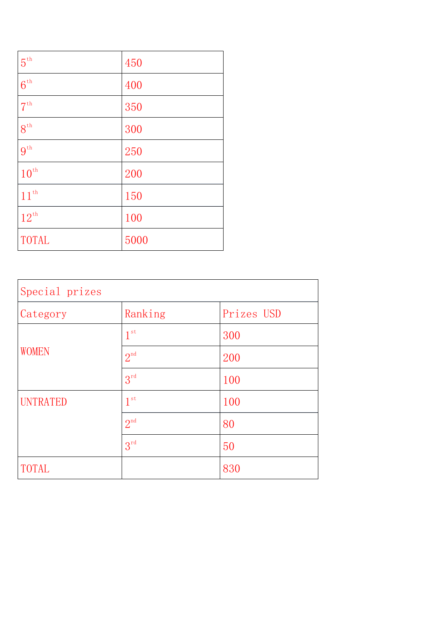| $5^{\mathrm{th}}$  | 450  |
|--------------------|------|
| $6^{\text{th}}$    | 400  |
| $7^{\text{th}}$    | 350  |
| $8^{\text{th}}$    | 300  |
| $9^{\text{th}}$    | 250  |
| $10^{\mathrm{th}}$ | 200  |
| $11^{th}$          | 150  |
| $12^{\mathrm{th}}$ | 100  |
| <b>TOTAL</b>       | 5000 |

| Special prizes  |                 |            |  |  |
|-----------------|-----------------|------------|--|--|
| Category        | Ranking         | Prizes USD |  |  |
|                 | 1 <sup>st</sup> | 300        |  |  |
| <b>WOMEN</b>    | 2 <sup>nd</sup> | 200        |  |  |
|                 | $3^{\text{rd}}$ | 100        |  |  |
| <b>UNTRATED</b> | 1 <sup>st</sup> | 100        |  |  |
|                 | 2 <sup>nd</sup> | 80         |  |  |
|                 | $3^{\text{rd}}$ | 50         |  |  |
| <b>TOTAL</b>    |                 | 830        |  |  |